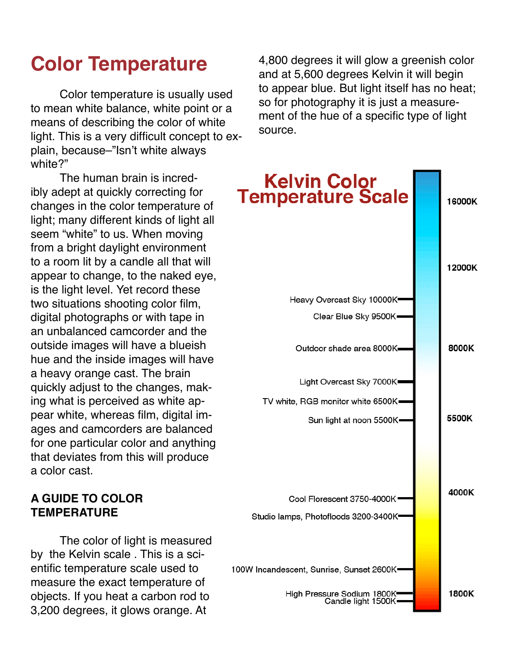# **Color Temperature**

Color temperature is usually used to mean white balance, white point or a means of describing the color of white light. This is a very difficult concept to explain, because–"Isn't white always white?"

The human brain is incredibly adept at quickly correcting for changes in the color temperature of light; many different kinds of light all seem "white" to us. When moving from a bright daylight environment to a room lit by a candle all that will appear to change, to the naked eye, is the light level. Yet record these two situations shooting color film, digital photographs or with tape in an unbalanced camcorder and the outside images will have a blueish hue and the inside images will have a heavy orange cast. The brain quickly adjust to the changes, making what is perceived as white appear white, whereas film, digital images and camcorders are balanced for one particular color and anything that deviates from this will produce a color cast.

# **A GUIDE TO COLOR TEMPERATURE**

The color of light is measured by the Kelvin scale . This is a scientific temperature scale used to measure the exact temperature of objects. If you heat a carbon rod to 3,200 degrees, it glows orange. At

4,800 degrees it will glow a greenish color and at 5,600 degrees Kelvin it will begin to appear blue. But light itself has no heat; so for photography it is just a measurement of the hue of a specific type of light source.

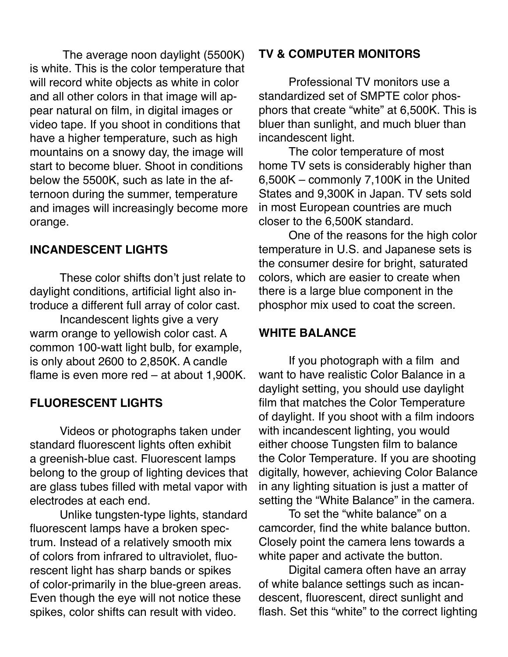The average noon daylight (5500K) is white. This is the color temperature that will record white objects as white in color and all other colors in that image will appear natural on film, in digital images or video tape. If you shoot in conditions that have a higher temperature, such as high mountains on a snowy day, the image will start to become bluer. Shoot in conditions below the 5500K, such as late in the afternoon during the summer, temperature and images will increasingly become more orange.

# **INCANDESCENT LIGHTS**

These color shifts don't just relate to daylight conditions, artificial light also introduce a different full array of color cast.

Incandescent lights give a very warm orange to yellowish color cast. A common 100-watt light bulb, for example, is only about 2600 to 2,850K. A candle flame is even more red – at about 1,900K.

# **FLUORESCENT LIGHTS**

Videos or photographs taken under standard fluorescent lights often exhibit a greenish-blue cast. Fluorescent lamps belong to the group of lighting devices that are glass tubes filled with metal vapor with electrodes at each end.

Unlike tungsten-type lights, standard fluorescent lamps have a broken spectrum. Instead of a relatively smooth mix of colors from infrared to ultraviolet, fluorescent light has sharp bands or spikes of color-primarily in the blue-green areas. Even though the eye will not notice these spikes, color shifts can result with video.

# **TV & COMPUTER MONITORS**

Professional TV monitors use a standardized set of SMPTE color phosphors that create "white" at 6,500K. This is bluer than sunlight, and much bluer than incandescent light.

The color temperature of most home TV sets is considerably higher than 6,500K – commonly 7,100K in the United States and 9,300K in Japan. TV sets sold in most European countries are much closer to the 6,500K standard.

One of the reasons for the high color temperature in U.S. and Japanese sets is the consumer desire for bright, saturated colors, which are easier to create when there is a large blue component in the phosphor mix used to coat the screen.

#### **WHITE BALANCE**

If you photograph with a film and want to have realistic Color Balance in a daylight setting, you should use daylight film that matches the Color Temperature of daylight. If you shoot with a film indoors with incandescent lighting, you would either choose Tungsten film to balance the Color Temperature. If you are shooting digitally, however, achieving Color Balance in any lighting situation is just a matter of setting the "White Balance" in the camera.

To set the "white balance" on a camcorder, find the white balance button. Closely point the camera lens towards a white paper and activate the button.

Digital camera often have an array of white balance settings such as incandescent, fluorescent, direct sunlight and flash. Set this "white" to the correct lighting